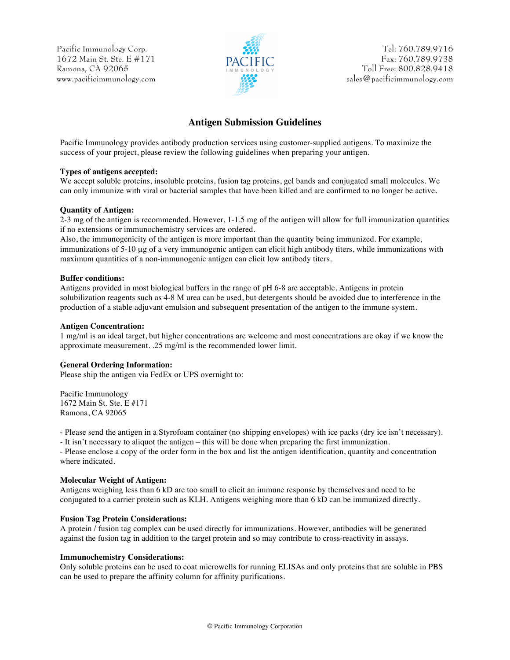Pacific Immunology Corp. 1672 Main St. Ste. E #171 Ramona, CA 92065 www.pacificimmunology.com



Tel: 760.789.9716 Fax: 760.789.9738 Toll Free: 800.828.9418 sales@pacificimmunology.com

# **Antigen Submission Guidelines**

Pacific Immunology provides antibody production services using customer-supplied antigens. To maximize the success of your project, please review the following guidelines when preparing your antigen.

### **Types of antigens accepted:**

We accept soluble proteins, insoluble proteins, fusion tag proteins, gel bands and conjugated small molecules. We can only immunize with viral or bacterial samples that have been killed and are confirmed to no longer be active.

### **Quantity of Antigen:**

2-3 mg of the antigen is recommended. However, 1-1.5 mg of the antigen will allow for full immunization quantities if no extensions or immunochemistry services are ordered.

Also, the immunogenicity of the antigen is more important than the quantity being immunized. For example, immunizations of 5-10 µg of a very immunogenic antigen can elicit high antibody titers, while immunizations with maximum quantities of a non-immunogenic antigen can elicit low antibody titers.

### **Buffer conditions:**

Antigens provided in most biological buffers in the range of pH 6-8 are acceptable. Antigens in protein solubilization reagents such as 4-8 M urea can be used, but detergents should be avoided due to interference in the production of a stable adjuvant emulsion and subsequent presentation of the antigen to the immune system.

#### **Antigen Concentration:**

1 mg/ml is an ideal target, but higher concentrations are welcome and most concentrations are okay if we know the approximate measurement. .25 mg/ml is the recommended lower limit.

### **General Ordering Information:**

Please ship the antigen via FedEx or UPS overnight to:

Pacific Immunology 1672 Main St. Ste. E #171 Ramona, CA 92065

- Please send the antigen in a Styrofoam container (no shipping envelopes) with ice packs (dry ice isn't necessary).

- It isn't necessary to aliquot the antigen – this will be done when preparing the first immunization.

- Please enclose a copy of the order form in the box and list the antigen identification, quantity and concentration where indicated.

### **Molecular Weight of Antigen:**

Antigens weighing less than 6 kD are too small to elicit an immune response by themselves and need to be conjugated to a carrier protein such as KLH. Antigens weighing more than 6 kD can be immunized directly.

### **Fusion Tag Protein Considerations:**

A protein / fusion tag complex can be used directly for immunizations. However, antibodies will be generated against the fusion tag in addition to the target protein and so may contribute to cross-reactivity in assays.

### **Immunochemistry Considerations:**

Only soluble proteins can be used to coat microwells for running ELISAs and only proteins that are soluble in PBS can be used to prepare the affinity column for affinity purifications.